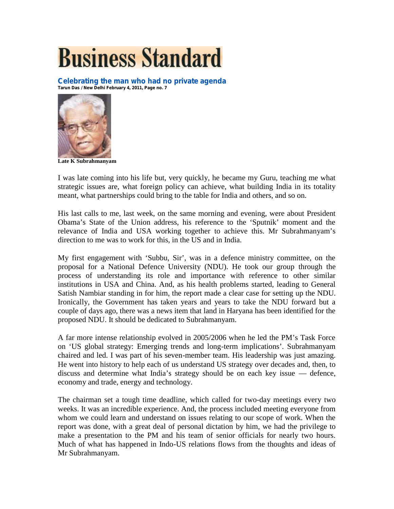## **Business Standard**

**Celebrating the man who had no private agenda Tarun Das / New Delhi February 4, 2011, Page no. 7**



**Late K Subrahmanyam**

I was late coming into his life but, very quickly, he became my Guru, teaching me what strategic issues are, what foreign policy can achieve, what building India in its totality meant, what partnerships could bring to the table for India and others, and so on.

His last calls to me, last week, on the same morning and evening, were about President Obama's State of the Union address, his reference to the 'Sputnik' moment and the relevance of India and USA working together to achieve this. Mr Subrahmanyam's direction to me was to work for this, in the US and in India.

My first engagement with 'Subbu, Sir', was in a defence ministry committee, on the proposal for a National Defence University (NDU). He took our group through the process of understanding its role and importance with reference to other similar institutions in USA and China. And, as his health problems started, leading to General Satish Nambiar standing in for him, the report made a clear case for setting up the NDU. Ironically, the Government has taken years and years to take the NDU forward but a couple of days ago, there was a news item that land in Haryana has been identified for the proposed NDU. It should be dedicated to Subrahmanyam.

A far more intense relationship evolved in 2005/2006 when he led the PM's Task Force on 'US global strategy: Emerging trends and long-term implications'. Subrahmanyam chaired and led. I was part of his seven-member team. His leadership was just amazing. He went into history to help each of us understand US strategy over decades and, then, to discuss and determine what India's strategy should be on each key issue — defence, economy and trade, energy and technology.

The chairman set a tough time deadline, which called for two-day meetings every two weeks. It was an incredible experience. And, the process included meeting everyone from whom we could learn and understand on issues relating to our scope of work. When the report was done, with a great deal of personal dictation by him, we had the privilege to make a presentation to the PM and his team of senior officials for nearly two hours. Much of what has happened in Indo-US relations flows from the thoughts and ideas of Mr Subrahmanyam.